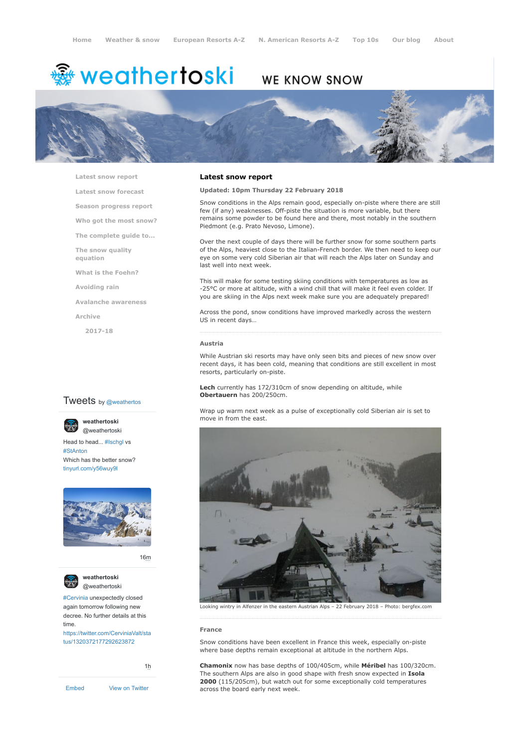# <del>▒</del> weathertoski

# WE KNOW SNOW



**[Latest snow report](https://www.weathertoski.co.uk/weather-snow/latest-snow-report/)**

**[Latest snow forecast](https://www.weathertoski.co.uk/weather-snow/latest-snow-forecast/)**

**[Season progress report](https://www.weathertoski.co.uk/weather-snow/season-progress-report/)**

**[Who got the most snow?](https://www.weathertoski.co.uk/weather-snow/who-got-the-most-snow/)**

**[The complete guide to...](https://www.weathertoski.co.uk/weather-snow/the-complete-guide-to/)**

**[The snow quality](https://www.weathertoski.co.uk/weather-snow/the-snow-quality-equation/) equation**

**[What is the Foehn?](https://www.weathertoski.co.uk/weather-snow/what-is-the-foehn/)**

**[Avoiding rain](https://www.weathertoski.co.uk/weather-snow/avoiding-rain/)**

**[Avalanche awareness](https://www.weathertoski.co.uk/weather-snow/avalanche-awareness/)**

**[Archive](https://www.weathertoski.co.uk/weather-snow/archive/)**

**[2017-18](https://www.weathertoski.co.uk/weather-snow/archive/2017-18/)**

# **Tweets** by @weathertos

**weathertoski** [@weathertoski](https://twitter.com/weathertoski)



Head to head... [#Ischgl](https://twitter.com/hashtag/Ischgl?src=hash) vs [#StAnton](https://twitter.com/hashtag/StAnton?src=hash) Which has the better snow? [tinyurl.com/y56wuy9l](https://t.co/AeKkyB0N9S)



[16m](https://twitter.com/weathertoski/status/1320387692862050304)



**weathertoski** [@weathertoski](https://twitter.com/weathertoski)

[#Cervinia](https://twitter.com/hashtag/Cervinia?src=hash) unexpectedly closed again tomorrow following new decree. No further details at this time. [https://twitter.com/CerviniaValt/sta](https://twitter.com/CerviniaValt/status/1320372177292623872)

tus/1320372177292623872

[1h](https://twitter.com/weathertoski/status/1320376647305093126)

[Embed](https://publish.twitter.com/?url=https%3A%2F%2Ftwitter.com%2Fweathertoski) [View on Twitter](https://twitter.com/weathertoski)

# **Latest snow report**

**Updated: 10pm Thursday 22 February 2018**

Snow conditions in the Alps remain good, especially on-piste where there are still few (if any) weaknesses. Off-piste the situation is more variable, but there remains some powder to be found here and there, most notably in the southern Piedmont (e.g. Prato Nevoso, Limone).

Over the next couple of days there will be further snow for some southern parts of the Alps, heaviest close to the Italian-French border. We then need to keep our eye on some very cold Siberian air that will reach the Alps later on Sunday and last well into next week.

This will make for some testing skiing conditions with temperatures as low as -25°C or more at altitude, with a wind chill that will make it feel even colder. If you are skiing in the Alps next week make sure you are adequately prepared!

Across the pond, snow conditions have improved markedly across the western US in recent days…

#### **Austria**

While Austrian ski resorts may have only seen bits and pieces of new snow over recent days, it has been cold, meaning that conditions are still excellent in most resorts, particularly on-piste.

**Lech** currently has 172/310cm of snow depending on altitude, while **Obertauern** has 200/250cm.

Wrap up warm next week as a pulse of exceptionally cold Siberian air is set to move in from the east.



Looking wintry in Alfenzer in the eastern Austrian Alps – 22 February 2018 – Photo: bergfex.com

# **France**

Snow conditions have been excellent in France this week, especially on-piste where base depths remain exceptional at altitude in the northern Alps.

**Chamonix** now has base depths of 100/405cm, while **Méribel** has 100/320cm. The southern Alps are also in good shape with fresh snow expected in **Isola 2000** (115/205cm), but watch out for some exceptionally cold temperatures across the board early next week.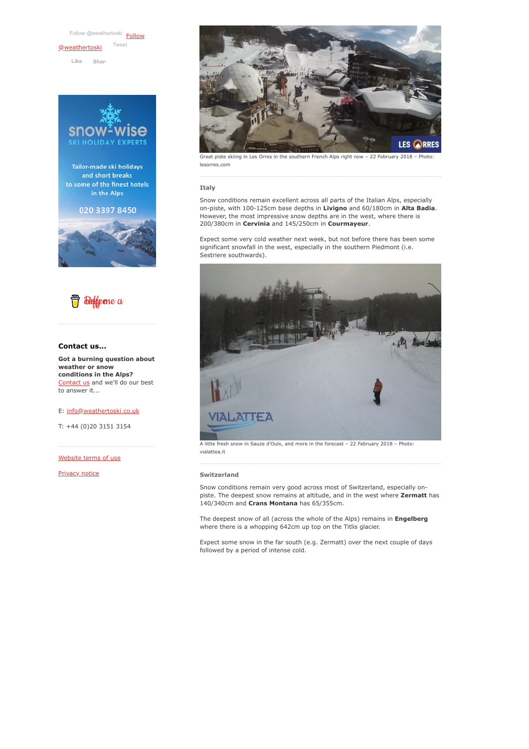[Follow @weathertoski](https://twitter.com/intent/follow?original_referer=https%3A%2F%2Fwww.weathertoski.co.uk%2F&ref_src=twsrc%5Etfw®ion=follow_link&screen_name=weathertoski&tw_p=followbutton) Follow [@weathertoski](https://twitter.com/weathertoski?ref_src=twsrc%5Etfw) [Tweet](https://twitter.com/intent/tweet?original_referer=https%3A%2F%2Fwww.weathertoski.co.uk%2F&ref_src=twsrc%5Etfw&text=Weather%20to%20ski%20-%20Snow%20report%20-%2022%20February%202018&tw_p=tweetbutton&url=https%3A%2F%2Fwww.weathertoski.co.uk%2Fweather-snow%2Farchive%2Fsnow-report-22-february-2018%2F) **Like [Shar](https://www.facebook.com/sharer/sharer.php?u=https%3A%2F%2Fwww.weathertoski.co.uk%2F&display=popup&ref=plugin&src=like&kid_directed_site=0)e**







# **Contact us...**

**Got a burning question about weather or snow conditions in the Alps?** [Contact us](https://www.weathertoski.co.uk/about-1/contact-us/) and we'll do our best to answer it...

E: [info@weathertoski.co.uk](mailto:fraser@weathertoski.co.uk)

T: +44 (0)20 3151 3154

[Website terms of use](https://www.weathertoski.co.uk/about-1/website-terms-of-use/)

[Privacy notice](https://www.weathertoski.co.uk/about-1/privacy-notice/)



iste skiing in Les Orres in the southern French Alps right now – 22 February 2018 – Photo: lesorres.com

### **Italy**

Snow conditions remain excellent across all parts of the Italian Alps, especially on-piste, with 100-125cm base depths in **Livigno** and 60/180cm in **Alta Badia**. However, the most impressive snow depths are in the west, where there is 200/380cm in **Cervinia** and 145/250cm in **Courmayeur**.

Expect some very cold weather next week, but not before there has been some significant snowfall in the west, especially in the southern Piedmont (i.e. Sestriere southwards).



A little fresh snow in Sauze d'Oulx, and more in the forecast – 22 February 2018 – Photo: vialattea.it

#### **Switzerland**

Snow conditions remain very good across most of Switzerland, especially onpiste. The deepest snow remains at altitude, and in the west where **Zermatt** has 140/340cm and **Crans Montana** has 65/355cm.

The deepest snow of all (across the whole of the Alps) remains in **Engelberg** where there is a whopping 642cm up top on the Titlis glacier.

Expect some snow in the far south (e.g. Zermatt) over the next couple of days followed by a period of intense cold.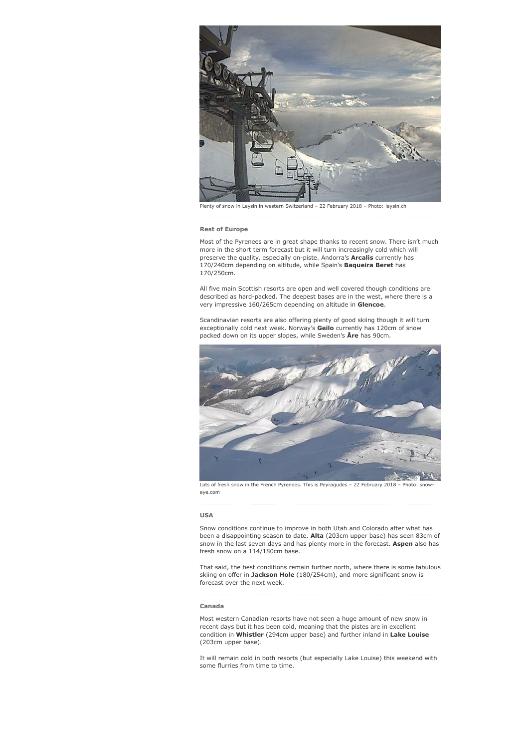

Plenty of snow in Leysin in western Switzerland – 22 February 2018 – Photo: leysin.ch

## **Rest of Europe**

Most of the Pyrenees are in great shape thanks to recent snow. There isn't much more in the short term forecast but it will turn increasingly cold which will preserve the quality, especially on-piste. Andorra's **Arcalis** currently has 170/240cm depending on altitude, while Spain's **Baqueira Beret** has 170/250cm.

All five main Scottish resorts are open and well covered though conditions are described as hard-packed. The deepest bases are in the west, where there is a very impressive 160/265cm depending on altitude in **Glencoe**.

Scandinavian resorts are also offering plenty of good skiing though it will turn exceptionally cold next week. Norway's **Geilo** currently has 120cm of snow packed down on its upper slopes, while Sweden's **Åre** has 90cm.



Lots of fresh snow in the French Pyrenees. This is Peyragudes – 22 February 2018 – Photo: snoweye.com

#### **USA**

Snow conditions continue to improve in both Utah and Colorado after what has been a disappointing season to date. **Alta** (203cm upper base) has seen 83cm of snow in the last seven days and has plenty more in the forecast. **Aspen** also has fresh snow on a 114/180cm base.

That said, the best conditions remain further north, where there is some fabulous skiing on offer in **Jackson Hole** (180/254cm), and more significant snow is forecast over the next week.

#### **Canada**

Most western Canadian resorts have not seen a huge amount of new snow in recent days but it has been cold, meaning that the pistes are in excellent condition in **Whistler** (294cm upper base) and further inland in **Lake Louise** (203cm upper base).

It will remain cold in both resorts (but especially Lake Louise) this weekend with some flurries from time to time.